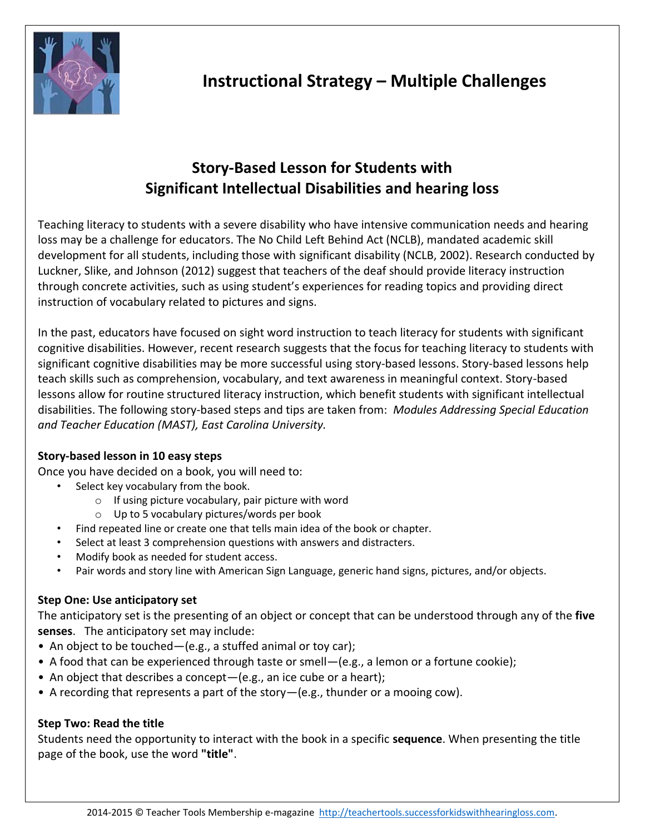

# **Story-Based Lesson for Students with Significant Intellectual Disabilities and hearing loss**

Teaching literacy to students with a severe disability who have intensive communication needs and hearing loss may be a challenge for educators. The No Child Left Behind Act (NCLB), mandated academic skill development for all students, including those with significant disability (NCLB, 2002). Research conducted by Luckner, Slike, and Johnson (2012) suggest that teachers of the deaf should provide literacy instruction through concrete activities, such as using student's experiences for reading topics and providing direct instruction of vocabulary related to pictures and signs.

In the past, educators have focused on sight word instruction to teach literacy for students with significant cognitive disabilities. However, recent research suggests that the focus for teaching literacy to students with significant cognitive disabilities may be more successful using story-based lessons. Story-based lessons help teach skills such as comprehension, vocabulary, and text awareness in meaningful context. Story-based lessons allow for routine structured literacy instruction, which benefit students with significant intellectual disabilities. The following story-based steps and tips are taken from: *Modules Addressing Special Education and Teacher Education (MAST), East Carolina University.*

# **Story-based lesson in 10 easy steps**

Once you have decided on a book, you will need to:

- Select key vocabulary from the book.
	- $\circ$  If using picture vocabulary, pair picture with word
	- o Up to 5 vocabulary pictures/words per book
- Find repeated line or create one that tells main idea of the book or chapter.
- Select at least 3 comprehension questions with answers and distracters.
- Modify book as needed for student access.
- Pair words and story line with American Sign Language, generic hand signs, pictures, and/or objects.

# **Step One: Use anticipatory set**

The anticipatory set is the presenting of an object or concept that can be understood through any of the **five senses**. The anticipatory set may include:

- An object to be touched—(e.g., a stuffed animal or toy car);
- A food that can be experienced through taste or smell—(e.g., a lemon or a fortune cookie);
- An object that describes a concept-(e.g., an ice cube or a heart);
- A recording that represents a part of the story—(e.g., thunder or a mooing cow).

# **Step Two: Read the title**

Students need the opportunity to interact with the book in a specific **sequence**. When presenting the title page of the book, use the word **"title"**.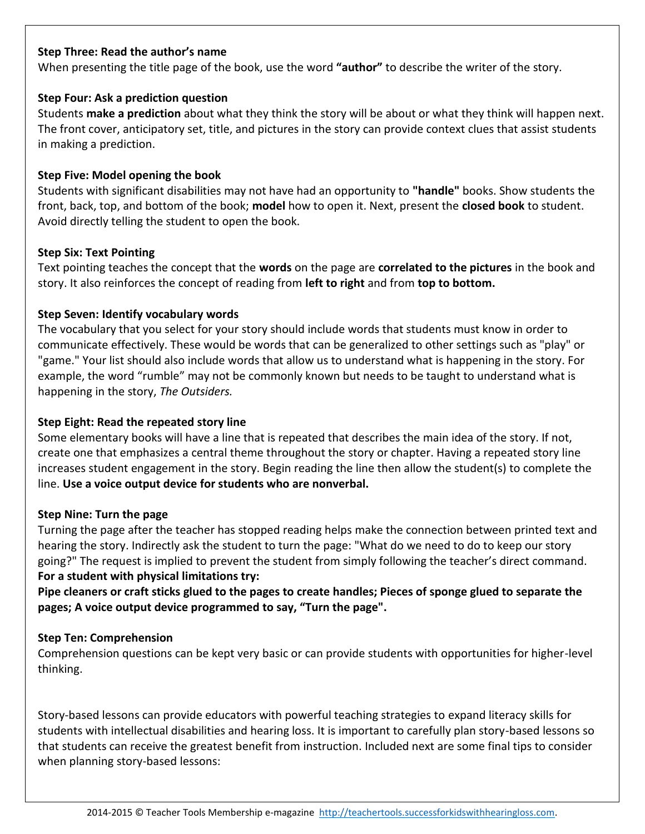#### **Step Three: Read the author's name**

When presenting the title page of the book, use the word **"author"** to describe the writer of the story.

#### **Step Four: Ask a prediction question**

Students **make a prediction** about what they think the story will be about or what they think will happen next. The front cover, anticipatory set, title, and pictures in the story can provide context clues that assist students in making a prediction.

#### **Step Five: Model opening the book**

Students with significant disabilities may not have had an opportunity to **"handle"** books. Show students the front, back, top, and bottom of the book; **model** how to open it. Next, present the **closed book** to student. Avoid directly telling the student to open the book.

#### **Step Six: Text Pointing**

Text pointing teaches the concept that the **words** on the page are **correlated to the pictures** in the book and story. It also reinforces the concept of reading from **left to right** and from **top to bottom.**

#### **Step Seven: Identify vocabulary words**

The vocabulary that you select for your story should include words that students must know in order to communicate effectively. These would be words that can be generalized to other settings such as "play" or "game." Your list should also include words that allow us to understand what is happening in the story. For example, the word "rumble" may not be commonly known but needs to be taught to understand what is happening in the story, *The Outsiders.*

### **Step Eight: Read the repeated story line**

Some elementary books will have a line that is repeated that describes the main idea of the story. If not, create one that emphasizes a central theme throughout the story or chapter. Having a repeated story line increases student engagement in the story. Begin reading the line then allow the student(s) to complete the line. **Use a voice output device for students who are nonverbal.**

#### **Step Nine: Turn the page**

Turning the page after the teacher has stopped reading helps make the connection between printed text and hearing the story. Indirectly ask the student to turn the page: "What do we need to do to keep our story going?" The request is implied to prevent the student from simply following the teacher's direct command. **For a student with physical limitations try:**

**Pipe cleaners or craft sticks glued to the pages to create handles; Pieces of sponge glued to separate the pages; A voice output device programmed to say, "Turn the page".**

## **Step Ten: Comprehension**

Comprehension questions can be kept very basic or can provide students with opportunities for higher-level thinking.

Story-based lessons can provide educators with powerful teaching strategies to expand literacy skills for students with intellectual disabilities and hearing loss. It is important to carefully plan story-based lessons so that students can receive the greatest benefit from instruction. Included next are some final tips to consider when planning story-based lessons: